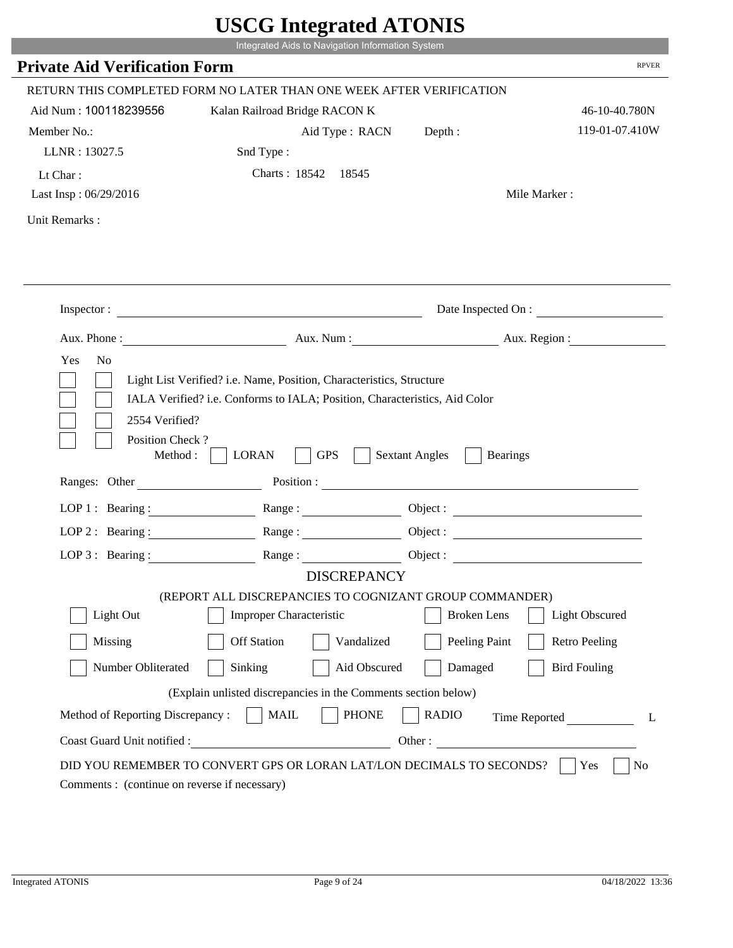|                                                                 | Integrated Aids to Navigation Information System                                                                                                   |                                          |                        |
|-----------------------------------------------------------------|----------------------------------------------------------------------------------------------------------------------------------------------------|------------------------------------------|------------------------|
| <b>Private Aid Verification Form</b>                            |                                                                                                                                                    |                                          | <b>RPVER</b>           |
|                                                                 | RETURN THIS COMPLETED FORM NO LATER THAN ONE WEEK AFTER VERIFICATION                                                                               |                                          |                        |
| Aid Num: 100118239556                                           | Kalan Railroad Bridge RACON K                                                                                                                      |                                          | 46-10-40.780N          |
| Member No.:                                                     | Aid Type: RACN                                                                                                                                     | Depth:                                   | 119-01-07.410W         |
| LLNR: 13027.5                                                   | Snd Type:                                                                                                                                          |                                          |                        |
| Lt Char:                                                        | Charts: 18542 18545                                                                                                                                |                                          |                        |
| Last Insp: 06/29/2016                                           |                                                                                                                                                    |                                          | Mile Marker:           |
| Unit Remarks:                                                   |                                                                                                                                                    |                                          |                        |
|                                                                 |                                                                                                                                                    |                                          |                        |
|                                                                 | Inspector:                                                                                                                                         |                                          | Date Inspected On :    |
| Aux. Phone :                                                    |                                                                                                                                                    |                                          | Aux. Num: Aux. Region: |
| 2554 Verified?                                                  | Light List Verified? i.e. Name, Position, Characteristics, Structure<br>IALA Verified? i.e. Conforms to IALA; Position, Characteristics, Aid Color |                                          |                        |
| Position Check?<br>Method :<br>Ranges: Other                    | <b>GPS</b><br><b>LORAN</b><br>Position :                                                                                                           | <b>Sextant Angles</b><br><b>Bearings</b> |                        |
|                                                                 |                                                                                                                                                    |                                          |                        |
|                                                                 | LOP 1: Bearing: $\qquad \qquad \text{Range}:$                                                                                                      |                                          |                        |
|                                                                 | LOP 2: Bearing: Range:                                                                                                                             |                                          |                        |
| $LOP 3:$ Bearing :                                              | Range:<br><b>DISCREPANCY</b>                                                                                                                       |                                          | Object:                |
|                                                                 | (REPORT ALL DISCREPANCIES TO COGNIZANT GROUP COMMANDER)                                                                                            |                                          |                        |
| Light Out                                                       | Improper Characteristic                                                                                                                            | <b>Broken</b> Lens                       | Light Obscured         |
| Missing                                                         | <b>Off Station</b><br>Vandalized                                                                                                                   | Peeling Paint                            | <b>Retro Peeling</b>   |
| Number Obliterated                                              | Aid Obscured<br>Sinking                                                                                                                            | Damaged                                  | <b>Bird Fouling</b>    |
|                                                                 |                                                                                                                                                    |                                          |                        |
|                                                                 | (Explain unlisted discrepancies in the Comments section below)                                                                                     |                                          |                        |
| Method of Reporting Discrepancy:<br>Coast Guard Unit notified : | <b>PHONE</b><br><b>MAIL</b><br>Other:                                                                                                              | <b>RADIO</b>                             | Time Reported          |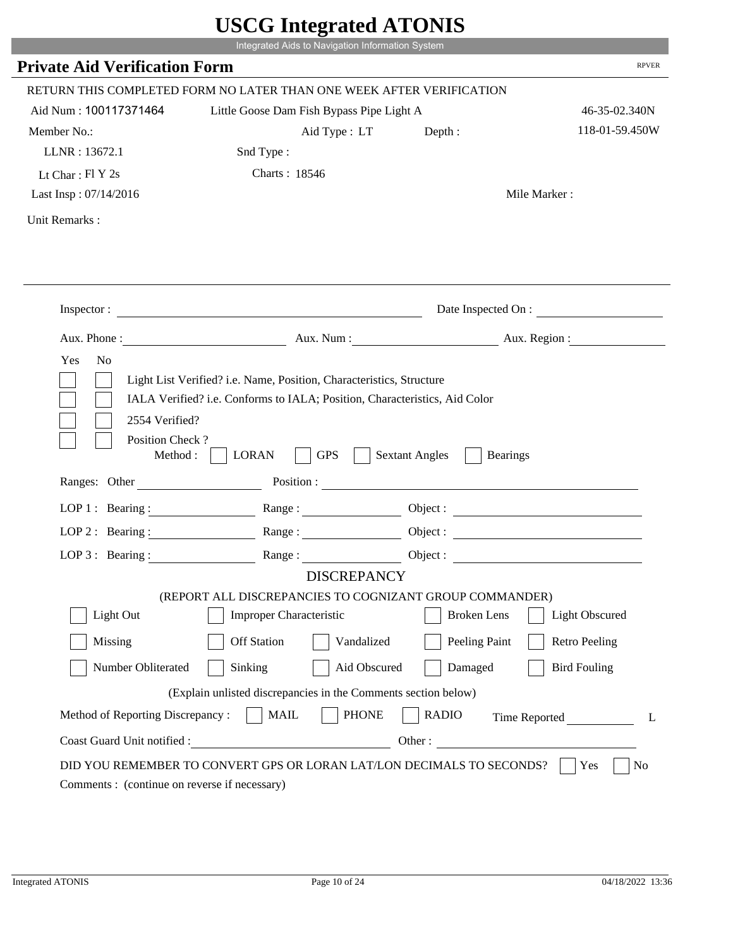|                                               | Integrated Aids to Navigation Information System                                                         |                                          |                      |
|-----------------------------------------------|----------------------------------------------------------------------------------------------------------|------------------------------------------|----------------------|
| <b>Private Aid Verification Form</b>          |                                                                                                          |                                          | <b>RPVER</b>         |
|                                               | RETURN THIS COMPLETED FORM NO LATER THAN ONE WEEK AFTER VERIFICATION                                     |                                          |                      |
| Aid Num: 100117371464                         | Little Goose Dam Fish Bypass Pipe Light A                                                                |                                          | 46-35-02.340N        |
| Member No.:                                   | Aid Type: LT                                                                                             | Depth:                                   | 118-01-59.450W       |
| LLNR: 13672.1                                 | Snd Type:                                                                                                |                                          |                      |
| Lt Char: $FI Y 2s$                            | Charts: 18546                                                                                            |                                          |                      |
| Last Insp: 07/14/2016                         |                                                                                                          |                                          | Mile Marker:         |
| Unit Remarks:                                 |                                                                                                          |                                          |                      |
|                                               | Inspector:                                                                                               |                                          | Date Inspected On :  |
| Aux. Phone :                                  |                                                                                                          | Aux. Num : Aux. Region :                 |                      |
|                                               | Light List Verified? i.e. Name, Position, Characteristics, Structure                                     |                                          |                      |
| 2554 Verified?<br>Position Check?<br>Method : | IALA Verified? i.e. Conforms to IALA; Position, Characteristics, Aid Color<br><b>GPS</b><br><b>LORAN</b> | <b>Sextant Angles</b><br><b>Bearings</b> |                      |
| Ranges: Other                                 |                                                                                                          | Position :                               |                      |
|                                               | LOP 1: Bearing: $\qquad \qquad \text{Range}:$                                                            |                                          |                      |
|                                               | LOP 2: Bearing: Range:                                                                                   |                                          |                      |
| $LOP 3:$ Bearing :                            | Range:                                                                                                   |                                          | Object:              |
|                                               | <b>DISCREPANCY</b>                                                                                       |                                          |                      |
|                                               | (REPORT ALL DISCREPANCIES TO COGNIZANT GROUP COMMANDER)                                                  |                                          |                      |
| Light Out                                     | Improper Characteristic                                                                                  | <b>Broken</b> Lens                       | Light Obscured       |
| Missing                                       | <b>Off Station</b><br>Vandalized                                                                         | Peeling Paint                            | <b>Retro Peeling</b> |
| Number Obliterated                            | Aid Obscured<br>Sinking                                                                                  | Damaged                                  | <b>Bird Fouling</b>  |
|                                               | (Explain unlisted discrepancies in the Comments section below)                                           |                                          |                      |
| Method of Reporting Discrepancy:              | <b>PHONE</b><br><b>MAIL</b>                                                                              | <b>RADIO</b>                             |                      |
| Coast Guard Unit notified :                   | Other:                                                                                                   |                                          | Time Reported        |

Т.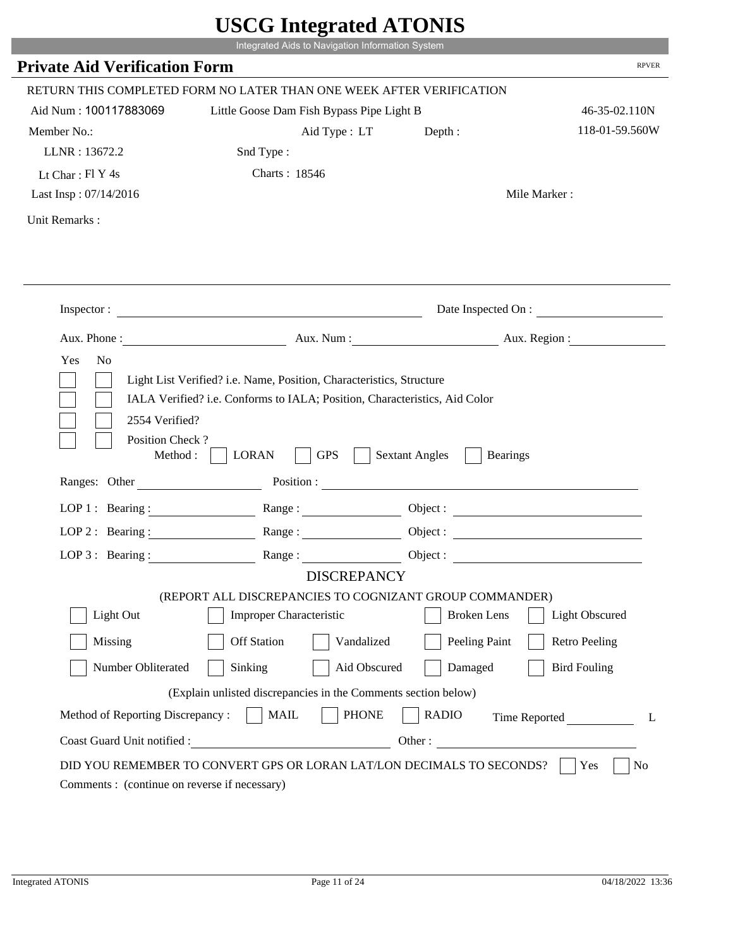|                                                                 | Integrated Aids to Navigation Information System                                                                                                   |                                                        |                      |
|-----------------------------------------------------------------|----------------------------------------------------------------------------------------------------------------------------------------------------|--------------------------------------------------------|----------------------|
| <b>Private Aid Verification Form</b>                            |                                                                                                                                                    |                                                        | <b>RPVER</b>         |
|                                                                 | RETURN THIS COMPLETED FORM NO LATER THAN ONE WEEK AFTER VERIFICATION                                                                               |                                                        |                      |
| Aid Num: 100117883069                                           | Little Goose Dam Fish Bypass Pipe Light B                                                                                                          |                                                        | 46-35-02.110N        |
| Member No.:                                                     | Aid Type: LT                                                                                                                                       | Depth:                                                 | 118-01-59.560W       |
| LLNR: 13672.2                                                   | Snd Type:                                                                                                                                          |                                                        |                      |
| Lt Char: Fl Y 4s                                                | Charts: 18546                                                                                                                                      |                                                        |                      |
| Last Insp: 07/14/2016                                           |                                                                                                                                                    |                                                        | Mile Marker:         |
| Unit Remarks:                                                   |                                                                                                                                                    |                                                        |                      |
|                                                                 | Inspector:                                                                                                                                         |                                                        | Date Inspected On :  |
|                                                                 |                                                                                                                                                    | Aux. Num : Aux. Region :                               |                      |
| Aux. Phone :                                                    |                                                                                                                                                    |                                                        |                      |
| N <sub>o</sub><br>Yes<br>2554 Verified?                         | Light List Verified? i.e. Name, Position, Characteristics, Structure<br>IALA Verified? i.e. Conforms to IALA; Position, Characteristics, Aid Color |                                                        |                      |
| Position Check?<br>Method :<br>Ranges: Other                    | <b>GPS</b><br><b>LORAN</b>                                                                                                                         | <b>Sextant Angles</b><br><b>Bearings</b><br>Position : |                      |
|                                                                 |                                                                                                                                                    |                                                        |                      |
|                                                                 | LOP 1: Bearing: $\qquad \qquad \text{Range}:$                                                                                                      |                                                        |                      |
|                                                                 | LOP 2: Bearing: Range:                                                                                                                             |                                                        |                      |
| $LOP 3:$ Bearing :                                              | Range:                                                                                                                                             |                                                        | Object:              |
|                                                                 | <b>DISCREPANCY</b><br>(REPORT ALL DISCREPANCIES TO COGNIZANT GROUP COMMANDER)                                                                      |                                                        |                      |
| Light Out                                                       | Improper Characteristic                                                                                                                            | <b>Broken</b> Lens                                     | Light Obscured       |
|                                                                 | <b>Off Station</b><br>Vandalized                                                                                                                   |                                                        | <b>Retro Peeling</b> |
| Missing                                                         |                                                                                                                                                    | Peeling Paint                                          |                      |
| Number Obliterated                                              | Aid Obscured<br>Sinking                                                                                                                            | Damaged                                                | <b>Bird Fouling</b>  |
|                                                                 | (Explain unlisted discrepancies in the Comments section below)                                                                                     |                                                        |                      |
| Method of Reporting Discrepancy:<br>Coast Guard Unit notified : | <b>PHONE</b><br><b>MAIL</b><br>Other:                                                                                                              | <b>RADIO</b>                                           | Time Reported        |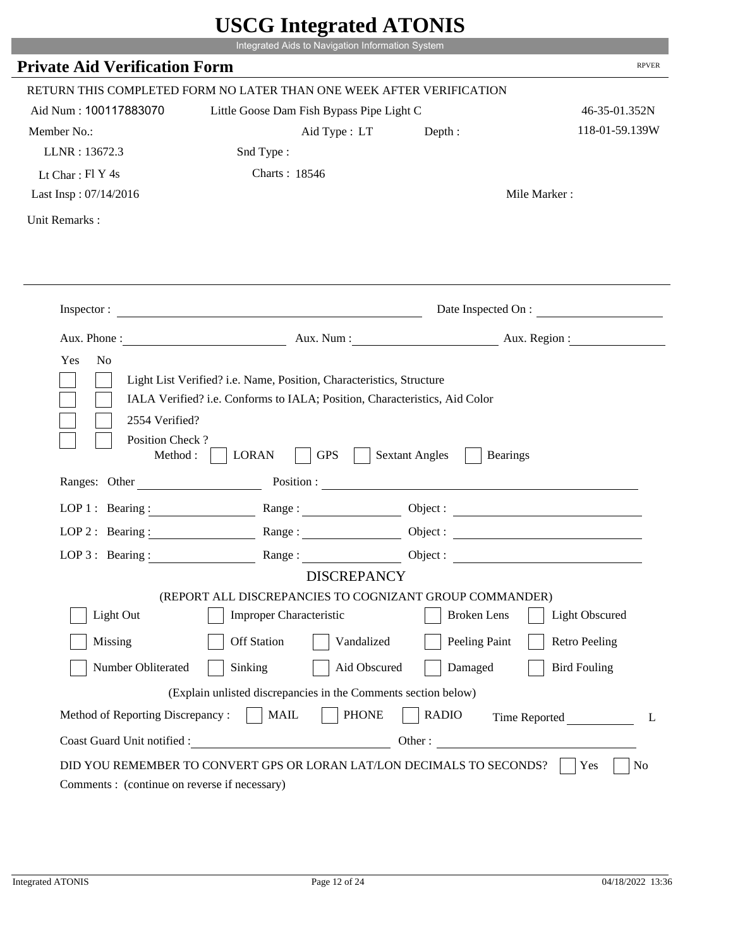|                                         | Integrated Aids to Navigation Information System                                                                                                   |                                          |                       |
|-----------------------------------------|----------------------------------------------------------------------------------------------------------------------------------------------------|------------------------------------------|-----------------------|
| <b>Private Aid Verification Form</b>    |                                                                                                                                                    |                                          | <b>RPVER</b>          |
|                                         | RETURN THIS COMPLETED FORM NO LATER THAN ONE WEEK AFTER VERIFICATION                                                                               |                                          |                       |
| Aid Num: 100117883070                   | Little Goose Dam Fish Bypass Pipe Light C                                                                                                          |                                          | 46-35-01.352N         |
| Member No.:                             | Aid Type : LT                                                                                                                                      | Depth :                                  | 118-01-59.139W        |
| LLNR: 13672.3                           | Snd Type:                                                                                                                                          |                                          |                       |
| Lt Char: Fl Y 4s                        | Charts: 18546                                                                                                                                      |                                          |                       |
| Last Insp: 07/14/2016                   |                                                                                                                                                    |                                          | Mile Marker:          |
| Unit Remarks:                           |                                                                                                                                                    |                                          |                       |
|                                         |                                                                                                                                                    |                                          |                       |
|                                         | Inspector:                                                                                                                                         |                                          | Date Inspected On :   |
|                                         | Aux. Phone: Aux. Num : Aux. Num : Aux. Region :                                                                                                    |                                          |                       |
| Yes<br>N <sub>o</sub><br>2554 Verified? | Light List Verified? i.e. Name, Position, Characteristics, Structure<br>IALA Verified? i.e. Conforms to IALA; Position, Characteristics, Aid Color |                                          |                       |
| Position Check?<br>Method : $\vert$     | <b>GPS</b><br><b>LORAN</b>                                                                                                                         | <b>Sextant Angles</b><br><b>Bearings</b> |                       |
| Ranges: Other                           |                                                                                                                                                    | Position :                               |                       |
|                                         | LOP 1: Bearing: Range:                                                                                                                             |                                          |                       |
|                                         | LOP 2: Bearing: $\qquad \qquad$ Range:                                                                                                             |                                          |                       |
| LOP 3: Bearing :                        | Range:                                                                                                                                             |                                          | Object :              |
|                                         | <b>DISCREPANCY</b>                                                                                                                                 |                                          |                       |
| Light Out                               | (REPORT ALL DISCREPANCIES TO COGNIZANT GROUP COMMANDER)<br>Improper Characteristic                                                                 | <b>Broken</b> Lens                       | <b>Light Obscured</b> |
|                                         |                                                                                                                                                    |                                          |                       |
| Missing                                 | <b>Off Station</b><br>Vandalized                                                                                                                   | Peeling Paint                            | <b>Retro Peeling</b>  |
| Number Obliterated                      | Sinking<br>Aid Obscured                                                                                                                            | Damaged                                  | <b>Bird Fouling</b>   |
|                                         | (Explain unlisted discrepancies in the Comments section below)                                                                                     |                                          |                       |
| Method of Reporting Discrepancy:        | <b>PHONE</b><br><b>MAIL</b>                                                                                                                        | <b>RADIO</b>                             | Time Reported         |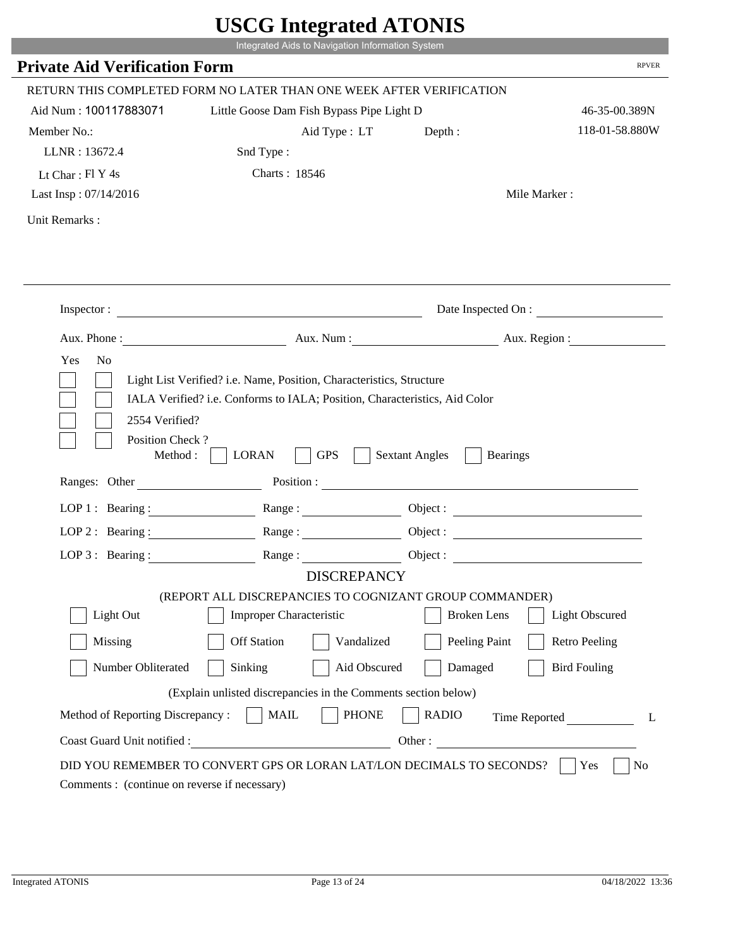|                                              | Integrated Aids to Navigation Information System                                                                                                   |                                                        |                      |
|----------------------------------------------|----------------------------------------------------------------------------------------------------------------------------------------------------|--------------------------------------------------------|----------------------|
| <b>Private Aid Verification Form</b>         |                                                                                                                                                    |                                                        | <b>RPVER</b>         |
|                                              | RETURN THIS COMPLETED FORM NO LATER THAN ONE WEEK AFTER VERIFICATION                                                                               |                                                        |                      |
| Aid Num: 100117883071                        | Little Goose Dam Fish Bypass Pipe Light D                                                                                                          |                                                        | 46-35-00.389N        |
| Member No.:                                  | Aid Type: LT                                                                                                                                       | Depth:                                                 | 118-01-58.880W       |
| LLNR: 13672.4                                | Snd Type:                                                                                                                                          |                                                        |                      |
| Lt Char: $FI$ Y 4s                           | Charts: 18546                                                                                                                                      |                                                        |                      |
| Last Insp: 07/14/2016                        |                                                                                                                                                    |                                                        | Mile Marker:         |
| Unit Remarks:                                |                                                                                                                                                    |                                                        |                      |
|                                              | Inspector:                                                                                                                                         |                                                        | Date Inspected On :  |
| Aux. Phone :                                 |                                                                                                                                                    | Aux. Num : Aux. Region :                               |                      |
| N <sub>o</sub><br>Yes                        |                                                                                                                                                    |                                                        |                      |
| 2554 Verified?                               | Light List Verified? i.e. Name, Position, Characteristics, Structure<br>IALA Verified? i.e. Conforms to IALA; Position, Characteristics, Aid Color |                                                        |                      |
| Position Check?<br>Method :<br>Ranges: Other | <b>GPS</b><br><b>LORAN</b>                                                                                                                         | <b>Sextant Angles</b><br><b>Bearings</b><br>Position : |                      |
|                                              |                                                                                                                                                    |                                                        |                      |
|                                              | LOP 1: Bearing: $\qquad \qquad \text{Range}:$                                                                                                      |                                                        |                      |
|                                              | LOP 2: Bearing: Range:                                                                                                                             |                                                        |                      |
| $LOP 3:$ Bearing :                           | Range:                                                                                                                                             |                                                        | Object:              |
|                                              | <b>DISCREPANCY</b><br>(REPORT ALL DISCREPANCIES TO COGNIZANT GROUP COMMANDER)                                                                      |                                                        |                      |
| Light Out                                    | Improper Characteristic                                                                                                                            | <b>Broken</b> Lens                                     | Light Obscured       |
|                                              |                                                                                                                                                    |                                                        |                      |
| Missing                                      | <b>Off Station</b><br>Vandalized                                                                                                                   | Peeling Paint                                          | <b>Retro Peeling</b> |
| Number Obliterated                           | Aid Obscured<br>Sinking                                                                                                                            | Damaged                                                | <b>Bird Fouling</b>  |
|                                              | (Explain unlisted discrepancies in the Comments section below)                                                                                     |                                                        |                      |
| Method of Reporting Discrepancy:             | <b>PHONE</b><br><b>MAIL</b><br>Other:                                                                                                              | <b>RADIO</b>                                           | Time Reported        |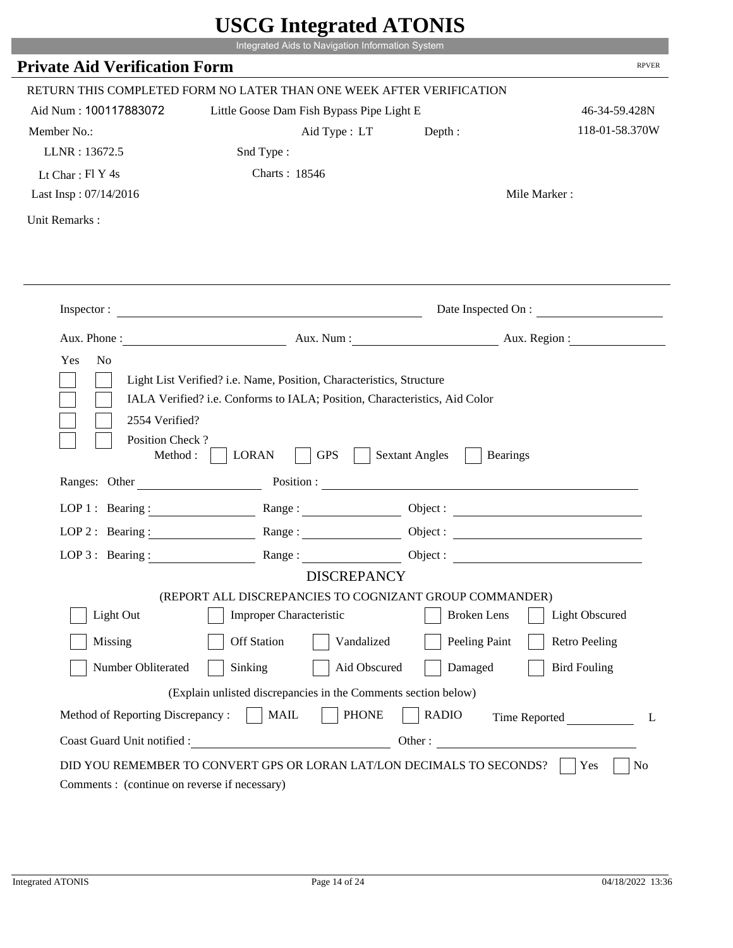|                                                                 | Integrated Aids to Navigation Information System                                                                                                   |                                                        |                      |
|-----------------------------------------------------------------|----------------------------------------------------------------------------------------------------------------------------------------------------|--------------------------------------------------------|----------------------|
| <b>Private Aid Verification Form</b>                            |                                                                                                                                                    |                                                        | <b>RPVER</b>         |
|                                                                 | RETURN THIS COMPLETED FORM NO LATER THAN ONE WEEK AFTER VERIFICATION                                                                               |                                                        |                      |
| Aid Num: 100117883072                                           | Little Goose Dam Fish Bypass Pipe Light E                                                                                                          |                                                        | 46-34-59.428N        |
| Member No.:                                                     | Aid Type: LT                                                                                                                                       | Depth:                                                 | 118-01-58.370W       |
| LLNR: 13672.5                                                   | Snd Type:                                                                                                                                          |                                                        |                      |
| Lt Char: $FI$ Y 4s                                              | Charts: 18546                                                                                                                                      |                                                        |                      |
| Last Insp: 07/14/2016                                           |                                                                                                                                                    |                                                        | Mile Marker:         |
| Unit Remarks:                                                   |                                                                                                                                                    |                                                        |                      |
|                                                                 |                                                                                                                                                    |                                                        |                      |
|                                                                 | Inspector:                                                                                                                                         |                                                        | Date Inspected On :  |
| Aux. Phone :                                                    |                                                                                                                                                    | Aux. Num : Aux. Region :                               |                      |
| N <sub>o</sub><br>Yes<br>2554 Verified?                         | Light List Verified? i.e. Name, Position, Characteristics, Structure<br>IALA Verified? i.e. Conforms to IALA; Position, Characteristics, Aid Color |                                                        |                      |
| Position Check?<br>Method :<br>Ranges: Other                    | <b>GPS</b><br><b>LORAN</b>                                                                                                                         | <b>Sextant Angles</b><br><b>Bearings</b><br>Position : |                      |
|                                                                 |                                                                                                                                                    |                                                        |                      |
|                                                                 | LOP 1: Bearing: $\qquad \qquad \text{Range}:$                                                                                                      |                                                        |                      |
|                                                                 | LOP 2: Bearing: Range:                                                                                                                             |                                                        |                      |
| $LOP 3:$ Bearing :                                              | Range:<br><b>DISCREPANCY</b>                                                                                                                       |                                                        | Object:              |
|                                                                 | (REPORT ALL DISCREPANCIES TO COGNIZANT GROUP COMMANDER)                                                                                            |                                                        |                      |
| Light Out                                                       | Improper Characteristic                                                                                                                            | <b>Broken</b> Lens                                     | Light Obscured       |
| Missing                                                         | <b>Off Station</b><br>Vandalized                                                                                                                   | Peeling Paint                                          | <b>Retro Peeling</b> |
| Number Obliterated                                              | Aid Obscured                                                                                                                                       | Damaged                                                | <b>Bird Fouling</b>  |
|                                                                 | Sinking                                                                                                                                            |                                                        |                      |
|                                                                 | (Explain unlisted discrepancies in the Comments section below)                                                                                     |                                                        |                      |
| Method of Reporting Discrepancy:<br>Coast Guard Unit notified : | <b>PHONE</b><br><b>MAIL</b><br>Other:                                                                                                              | <b>RADIO</b>                                           | Time Reported        |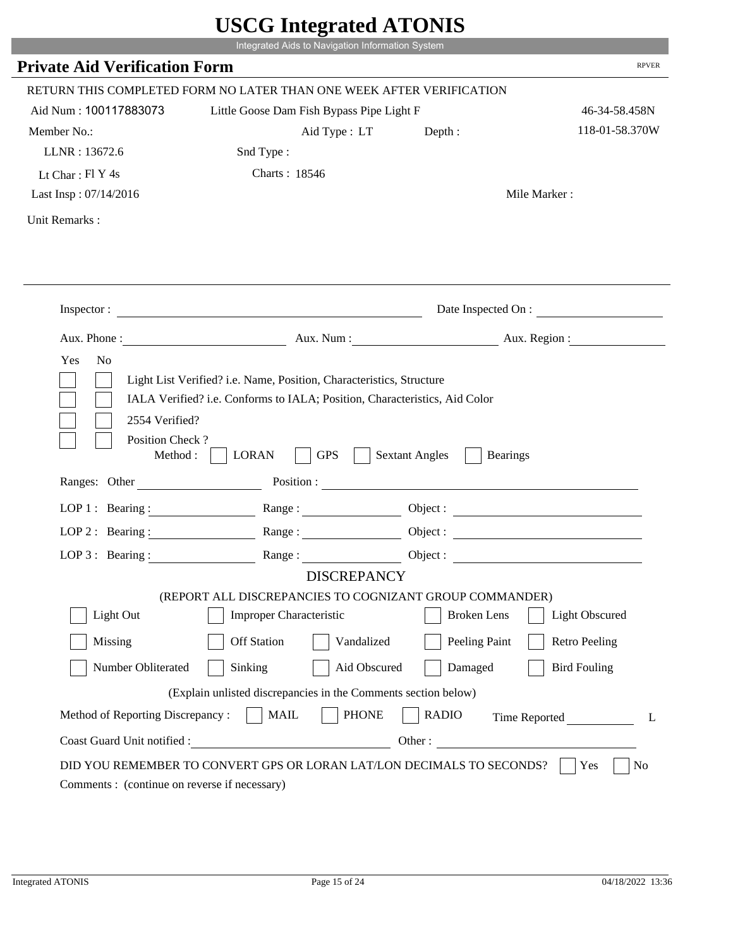|                                              | Integrated Aids to Navigation Information System                                                                                                   |                                                        |                      |
|----------------------------------------------|----------------------------------------------------------------------------------------------------------------------------------------------------|--------------------------------------------------------|----------------------|
| <b>Private Aid Verification Form</b>         |                                                                                                                                                    |                                                        | <b>RPVER</b>         |
|                                              | RETURN THIS COMPLETED FORM NO LATER THAN ONE WEEK AFTER VERIFICATION                                                                               |                                                        |                      |
| Aid Num: 100117883073                        | Little Goose Dam Fish Bypass Pipe Light F                                                                                                          |                                                        | 46-34-58.458N        |
| Member No.:                                  | Aid Type: LT                                                                                                                                       | Depth:                                                 | 118-01-58.370W       |
| LLNR: 13672.6                                | Snd Type:                                                                                                                                          |                                                        |                      |
| Lt Char: $FI$ Y 4s                           | Charts: 18546                                                                                                                                      |                                                        |                      |
| Last Insp: 07/14/2016                        |                                                                                                                                                    |                                                        | Mile Marker:         |
| Unit Remarks:                                |                                                                                                                                                    |                                                        |                      |
|                                              | Inspector:                                                                                                                                         |                                                        | Date Inspected On :  |
| Aux. Phone :                                 |                                                                                                                                                    | Aux. Num : Aux. Region :                               |                      |
| N <sub>o</sub><br>Yes                        |                                                                                                                                                    |                                                        |                      |
| 2554 Verified?                               | Light List Verified? i.e. Name, Position, Characteristics, Structure<br>IALA Verified? i.e. Conforms to IALA; Position, Characteristics, Aid Color |                                                        |                      |
| Position Check?<br>Method :<br>Ranges: Other | <b>GPS</b><br><b>LORAN</b>                                                                                                                         | <b>Sextant Angles</b><br><b>Bearings</b><br>Position : |                      |
|                                              |                                                                                                                                                    |                                                        |                      |
|                                              | LOP 1: Bearing: $\qquad \qquad \text{Range}:$                                                                                                      |                                                        |                      |
|                                              | LOP 2: Bearing: Range:                                                                                                                             |                                                        |                      |
| $LOP 3:$ Bearing :                           | Range:                                                                                                                                             |                                                        | Object:              |
|                                              | <b>DISCREPANCY</b><br>(REPORT ALL DISCREPANCIES TO COGNIZANT GROUP COMMANDER)                                                                      |                                                        |                      |
| Light Out                                    | Improper Characteristic                                                                                                                            | <b>Broken</b> Lens                                     | Light Obscured       |
|                                              |                                                                                                                                                    |                                                        |                      |
| Missing                                      | <b>Off Station</b><br>Vandalized                                                                                                                   | Peeling Paint                                          | <b>Retro Peeling</b> |
| Number Obliterated                           | Aid Obscured<br>Sinking                                                                                                                            | Damaged                                                | <b>Bird Fouling</b>  |
|                                              | (Explain unlisted discrepancies in the Comments section below)                                                                                     |                                                        |                      |
| Method of Reporting Discrepancy:             | <b>PHONE</b><br><b>MAIL</b><br>Other:                                                                                                              | <b>RADIO</b>                                           | Time Reported        |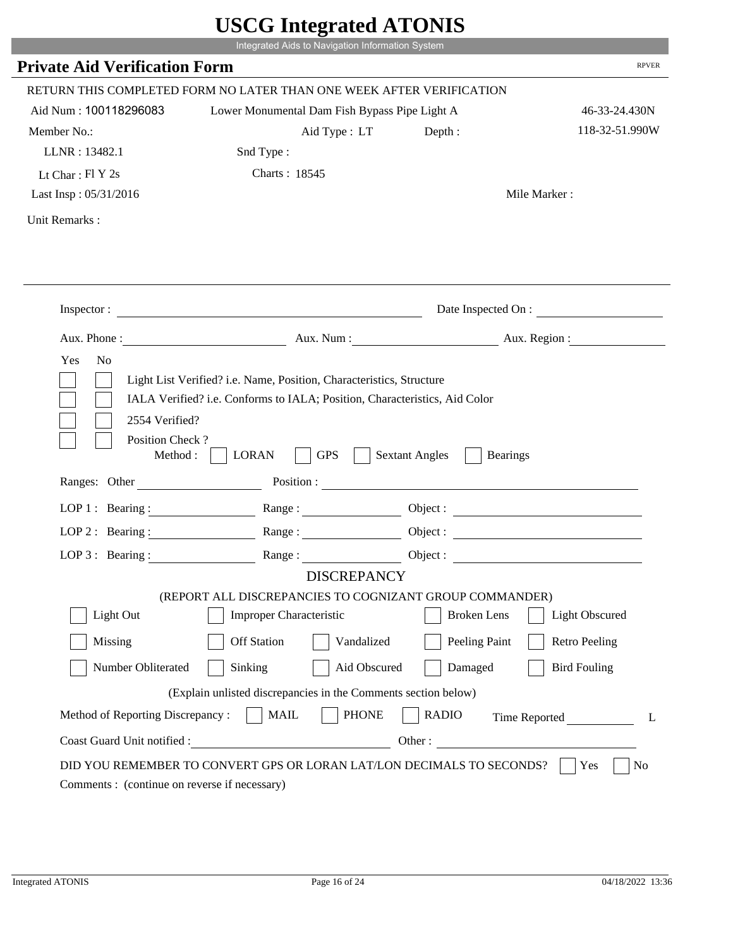|                                                                 | Integrated Aids to Navigation Information System                                              |                                                        |                      |
|-----------------------------------------------------------------|-----------------------------------------------------------------------------------------------|--------------------------------------------------------|----------------------|
| <b>Private Aid Verification Form</b>                            |                                                                                               |                                                        | <b>RPVER</b>         |
|                                                                 | RETURN THIS COMPLETED FORM NO LATER THAN ONE WEEK AFTER VERIFICATION                          |                                                        |                      |
| Aid Num: 100118296083                                           | Lower Monumental Dam Fish Bypass Pipe Light A                                                 |                                                        | 46-33-24.430N        |
| Member No.:                                                     | Aid Type: LT                                                                                  | Depth:                                                 | 118-32-51.990W       |
| LLNR: 13482.1                                                   | Snd Type:                                                                                     |                                                        |                      |
| Lt Char: $FI Y 2s$                                              | Charts: 18545                                                                                 |                                                        |                      |
| Last Insp: 05/31/2016                                           |                                                                                               |                                                        | Mile Marker:         |
| Unit Remarks:                                                   |                                                                                               |                                                        |                      |
|                                                                 |                                                                                               |                                                        |                      |
|                                                                 | Inspector:                                                                                    |                                                        | Date Inspected On :  |
| Aux. Phone :                                                    |                                                                                               | Aux. Num : Aux. Region :                               |                      |
| 2554 Verified?                                                  | IALA Verified? i.e. Conforms to IALA; Position, Characteristics, Aid Color                    |                                                        |                      |
| Position Check?<br>Method :<br>Ranges: Other                    | <b>GPS</b><br><b>LORAN</b>                                                                    | <b>Sextant Angles</b><br><b>Bearings</b><br>Position : |                      |
|                                                                 |                                                                                               |                                                        |                      |
|                                                                 | LOP 1: Bearing: $\qquad \qquad \text{Range}:$                                                 |                                                        |                      |
|                                                                 | LOP 2: Bearing: Range:                                                                        |                                                        |                      |
| $LOP 3:$ Bearing :                                              | Range:<br><b>DISCREPANCY</b>                                                                  |                                                        | Object :             |
|                                                                 | (REPORT ALL DISCREPANCIES TO COGNIZANT GROUP COMMANDER)                                       |                                                        |                      |
| Light Out                                                       | Improper Characteristic                                                                       | <b>Broken</b> Lens                                     | Light Obscured       |
| Missing                                                         | <b>Off Station</b><br>Vandalized                                                              | Peeling Paint                                          | <b>Retro Peeling</b> |
| Number Obliterated                                              | Aid Obscured<br>Sinking                                                                       | Damaged                                                | <b>Bird Fouling</b>  |
|                                                                 |                                                                                               |                                                        |                      |
|                                                                 | (Explain unlisted discrepancies in the Comments section below)<br><b>PHONE</b><br><b>MAIL</b> | <b>RADIO</b>                                           |                      |
| Method of Reporting Discrepancy:<br>Coast Guard Unit notified : | Other:                                                                                        |                                                        | Time Reported        |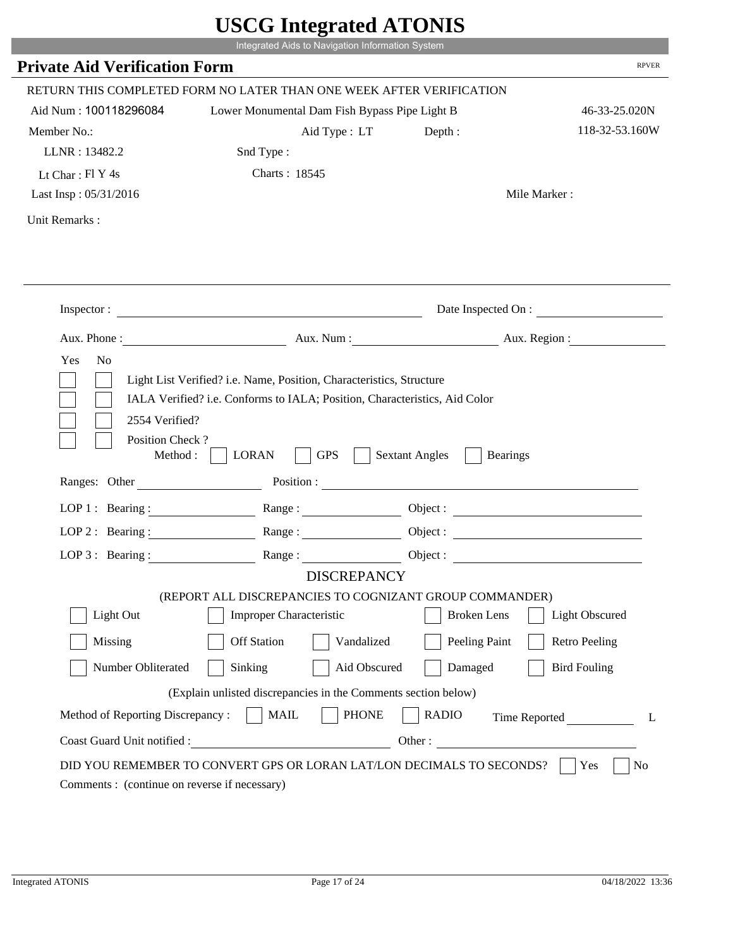|                                                                 | Integrated Aids to Navigation Information System                                                                                                   |                                                        |                      |
|-----------------------------------------------------------------|----------------------------------------------------------------------------------------------------------------------------------------------------|--------------------------------------------------------|----------------------|
| <b>Private Aid Verification Form</b>                            |                                                                                                                                                    |                                                        | <b>RPVER</b>         |
|                                                                 | RETURN THIS COMPLETED FORM NO LATER THAN ONE WEEK AFTER VERIFICATION                                                                               |                                                        |                      |
| Aid Num: 100118296084                                           | Lower Monumental Dam Fish Bypass Pipe Light B                                                                                                      |                                                        | 46-33-25.020N        |
| Member No.:                                                     | Aid Type: LT                                                                                                                                       | Depth:                                                 | 118-32-53.160W       |
| LLNR: 13482.2                                                   | Snd Type:                                                                                                                                          |                                                        |                      |
| Lt Char: $FI Y 4s$                                              | Charts: 18545                                                                                                                                      |                                                        |                      |
| Last Insp: 05/31/2016                                           |                                                                                                                                                    |                                                        | Mile Marker:         |
| Unit Remarks:                                                   |                                                                                                                                                    |                                                        |                      |
|                                                                 |                                                                                                                                                    |                                                        |                      |
|                                                                 | Inspector:                                                                                                                                         |                                                        | Date Inspected On :  |
| Aux. Phone :                                                    |                                                                                                                                                    | Aux. Num : Aux. Region :                               |                      |
| 2554 Verified?                                                  | Light List Verified? i.e. Name, Position, Characteristics, Structure<br>IALA Verified? i.e. Conforms to IALA; Position, Characteristics, Aid Color |                                                        |                      |
| Position Check?<br>Method :<br>Ranges: Other                    | <b>GPS</b><br><b>LORAN</b>                                                                                                                         | <b>Sextant Angles</b><br><b>Bearings</b><br>Position : |                      |
|                                                                 |                                                                                                                                                    |                                                        |                      |
|                                                                 | LOP 1: Bearing : $\qquad \qquad$ Range :                                                                                                           |                                                        |                      |
|                                                                 | LOP 2: Bearing: Range:                                                                                                                             |                                                        |                      |
| $LOP 3:$ Bearing :                                              | Range:<br><b>DISCREPANCY</b>                                                                                                                       |                                                        | Object :             |
|                                                                 | (REPORT ALL DISCREPANCIES TO COGNIZANT GROUP COMMANDER)                                                                                            |                                                        |                      |
| Light Out                                                       | Improper Characteristic                                                                                                                            | <b>Broken</b> Lens                                     | Light Obscured       |
| Missing                                                         | <b>Off Station</b><br>Vandalized                                                                                                                   | Peeling Paint                                          | <b>Retro Peeling</b> |
| Number Obliterated                                              | Aid Obscured<br>Sinking                                                                                                                            | Damaged                                                | <b>Bird Fouling</b>  |
|                                                                 |                                                                                                                                                    |                                                        |                      |
|                                                                 | (Explain unlisted discrepancies in the Comments section below)                                                                                     |                                                        |                      |
| Method of Reporting Discrepancy:<br>Coast Guard Unit notified : | <b>PHONE</b><br><b>MAIL</b><br>Other:                                                                                                              | <b>RADIO</b>                                           | Time Reported        |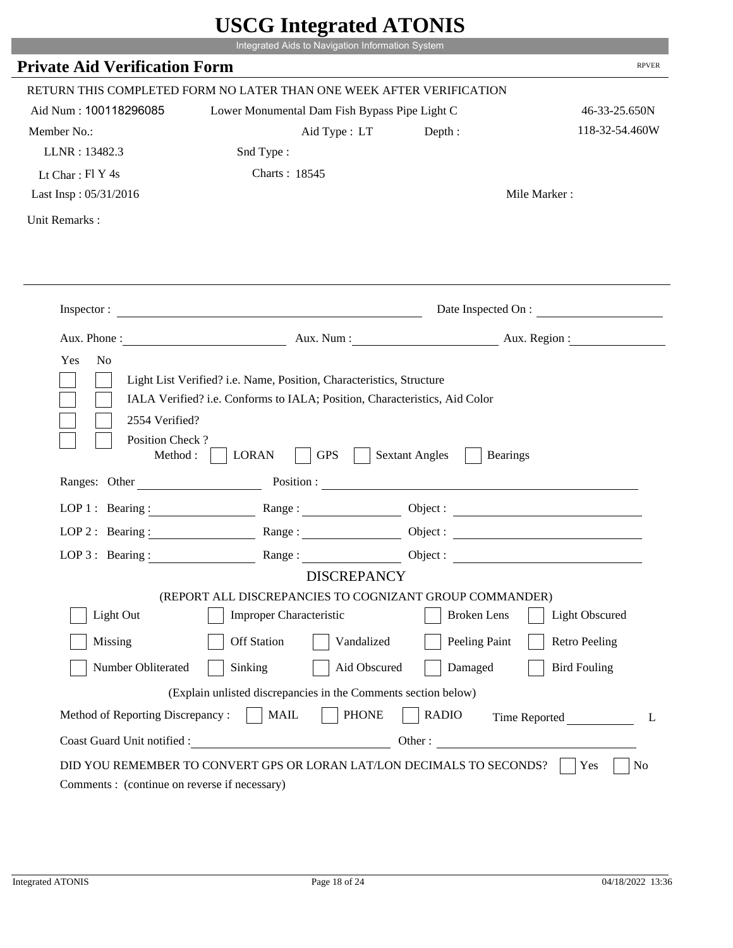| <b>Private Aid Verification Form</b><br>RETURN THIS COMPLETED FORM NO LATER THAN ONE WEEK AFTER VERIFICATION |                                                                |                                          | <b>RPVER</b>          |
|--------------------------------------------------------------------------------------------------------------|----------------------------------------------------------------|------------------------------------------|-----------------------|
|                                                                                                              |                                                                |                                          |                       |
|                                                                                                              |                                                                |                                          |                       |
| Aid Num: 100118296085                                                                                        | Lower Monumental Dam Fish Bypass Pipe Light C                  |                                          | 46-33-25.650N         |
| Member No.:                                                                                                  | Aid Type : LT                                                  | Depth:                                   | 118-32-54.460W        |
| LLNR: 13482.3                                                                                                | Snd Type:                                                      |                                          |                       |
| Lt Char: $FI Y 4s$                                                                                           | Charts: 18545                                                  |                                          |                       |
| Last Insp: 05/31/2016                                                                                        |                                                                |                                          | Mile Marker:          |
| Unit Remarks:                                                                                                |                                                                |                                          |                       |
|                                                                                                              |                                                                |                                          |                       |
|                                                                                                              | Inspector:                                                     |                                          | Date Inspected On :   |
|                                                                                                              | Aux. Phone: Aux. Aux. Num : Aux. Aux. Region :                 |                                          |                       |
| Method :<br>Ranges: Other                                                                                    | <b>GPS</b><br><b>LORAN</b>                                     | <b>Sextant Angles</b><br><b>Bearings</b> |                       |
|                                                                                                              | LOP 1: Bearing : Range :                                       | Object:                                  |                       |
| LOP $2:$ Bearing :                                                                                           |                                                                |                                          |                       |
|                                                                                                              | LOP 3: Bearing: Range: Object:                                 |                                          |                       |
|                                                                                                              | <b>DISCREPANCY</b>                                             |                                          |                       |
|                                                                                                              | (REPORT ALL DISCREPANCIES TO COGNIZANT GROUP COMMANDER)        |                                          |                       |
| Light Out                                                                                                    | Improper Characteristic                                        | <b>Broken</b> Lens                       | <b>Light Obscured</b> |
| Missing                                                                                                      | <b>Off Station</b><br>Vandalized                               | Peeling Paint                            | <b>Retro Peeling</b>  |
| Number Obliterated                                                                                           | Sinking<br>Aid Obscured                                        | Damaged                                  | <b>Bird Fouling</b>   |
|                                                                                                              | (Explain unlisted discrepancies in the Comments section below) |                                          |                       |
| Method of Reporting Discrepancy:                                                                             | <b>PHONE</b><br><b>MAIL</b>                                    | <b>RADIO</b>                             | Time Reported<br>L    |
| Coast Guard Unit notified :                                                                                  |                                                                | Other:                                   |                       |
|                                                                                                              |                                                                |                                          |                       |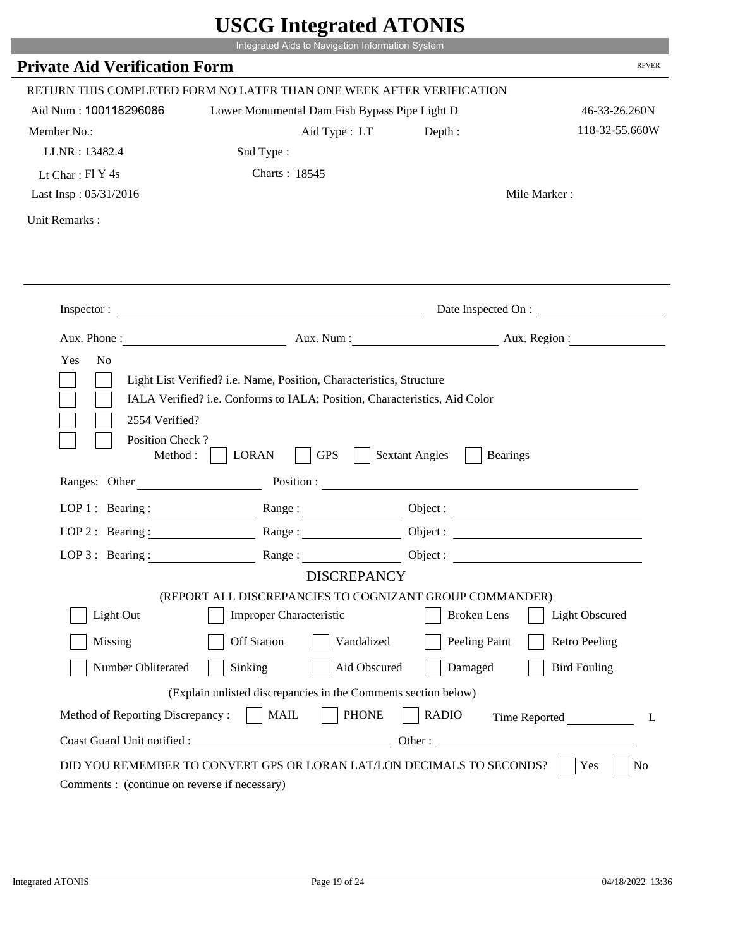|                                      | $\sigma$ most word in $\sigma$                                             |                                          |                       |
|--------------------------------------|----------------------------------------------------------------------------|------------------------------------------|-----------------------|
|                                      | Integrated Aids to Navigation Information System                           |                                          |                       |
| <b>Private Aid Verification Form</b> |                                                                            |                                          | <b>RPVER</b>          |
|                                      | RETURN THIS COMPLETED FORM NO LATER THAN ONE WEEK AFTER VERIFICATION       |                                          |                       |
| Aid Num: 100118296086                | Lower Monumental Dam Fish Bypass Pipe Light D                              |                                          | 46-33-26.260N         |
| Member No.:                          | Aid Type : LT                                                              | Depth:                                   | 118-32-55.660W        |
| LLNR: 13482.4                        | Snd Type:                                                                  |                                          |                       |
| Lt Char: Fl Y 4s                     | Charts: 18545                                                              |                                          |                       |
| Last Insp: 05/31/2016                |                                                                            |                                          | Mile Marker:          |
| Unit Remarks:                        |                                                                            |                                          |                       |
|                                      |                                                                            |                                          |                       |
|                                      |                                                                            |                                          |                       |
|                                      |                                                                            |                                          |                       |
|                                      |                                                                            |                                          | Date Inspected On :   |
|                                      | Aux. Phone: Aux. Num : Aux. Num : Aux. Region :                            |                                          |                       |
| Yes<br>N <sub>o</sub>                |                                                                            |                                          |                       |
|                                      |                                                                            |                                          |                       |
|                                      |                                                                            |                                          |                       |
|                                      | Light List Verified? i.e. Name, Position, Characteristics, Structure       |                                          |                       |
|                                      | IALA Verified? i.e. Conforms to IALA; Position, Characteristics, Aid Color |                                          |                       |
|                                      |                                                                            |                                          |                       |
| 2554 Verified?                       |                                                                            |                                          |                       |
| Position Check?                      |                                                                            |                                          |                       |
| Method : $\vert$                     | <b>GPS</b><br><b>LORAN</b>                                                 | <b>Sextant Angles</b><br><b>Bearings</b> |                       |
| Ranges: Other                        |                                                                            | Position :                               |                       |
|                                      |                                                                            |                                          |                       |
|                                      | LOP 1: Bearing: Range:                                                     |                                          |                       |
|                                      | LOP 2: Bearing: $\qquad \qquad$ Range:                                     |                                          |                       |
| LOP 3: Bearing :                     | Range:                                                                     |                                          | Object :              |
|                                      | <b>DISCREPANCY</b>                                                         |                                          |                       |
|                                      | (REPORT ALL DISCREPANCIES TO COGNIZANT GROUP COMMANDER)                    |                                          |                       |
| Light Out                            | <b>Improper Characteristic</b>                                             | <b>Broken</b> Lens                       | <b>Light Obscured</b> |
| Missing                              | <b>Off Station</b><br>Vandalized                                           | Peeling Paint                            | <b>Retro Peeling</b>  |
| Number Obliterated                   | Sinking<br>Aid Obscured                                                    | Damaged                                  | <b>Bird Fouling</b>   |
|                                      | (Explain unlisted discrepancies in the Comments section below)             |                                          |                       |
| Method of Reporting Discrepancy:     | <b>PHONE</b><br><b>MAIL</b>                                                | <b>RADIO</b>                             | Time Reported         |
| Coast Guard Unit notified :          |                                                                            | Other:                                   | L                     |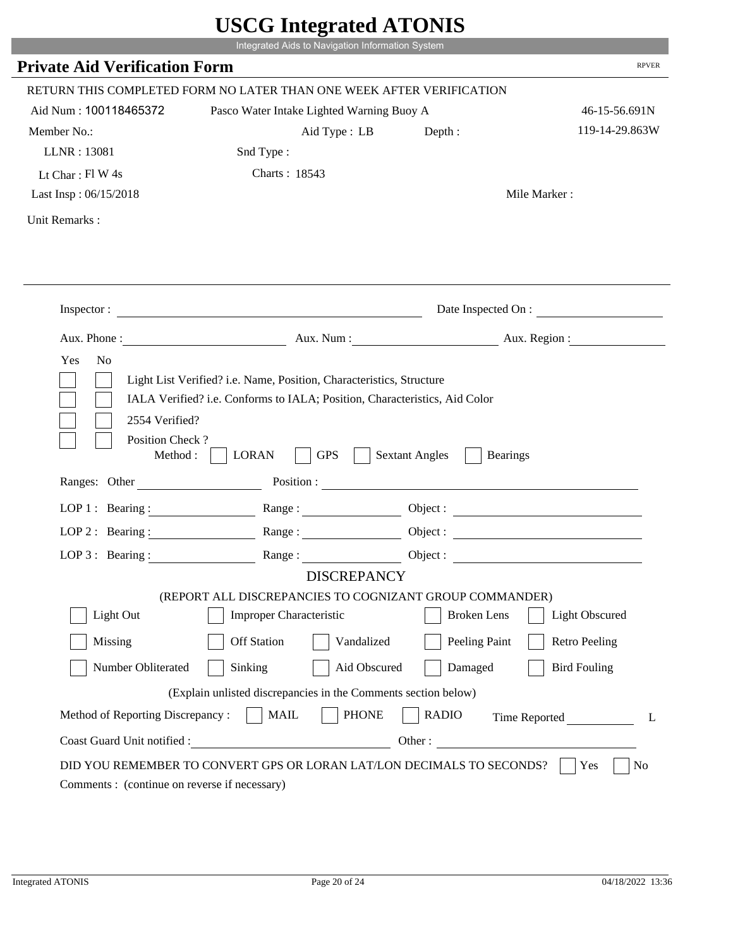|                                                                 | Integrated Aids to Navigation Information System                                                                                                   |                         |                                       |
|-----------------------------------------------------------------|----------------------------------------------------------------------------------------------------------------------------------------------------|-------------------------|---------------------------------------|
| <b>Private Aid Verification Form</b>                            |                                                                                                                                                    |                         | <b>RPVER</b>                          |
|                                                                 |                                                                                                                                                    |                         |                                       |
| Aid Num: 100118465372                                           | RETURN THIS COMPLETED FORM NO LATER THAN ONE WEEK AFTER VERIFICATION<br>Pasco Water Intake Lighted Warning Buoy A                                  |                         |                                       |
| Member No.:                                                     | Aid Type: LB                                                                                                                                       |                         | 46-15-56.691N<br>119-14-29.863W       |
| LLNR: 13081                                                     | Snd Type:                                                                                                                                          | Depth:                  |                                       |
| Lt Char: $FlW 4s$                                               | Charts: 18543                                                                                                                                      |                         |                                       |
| Last Insp: 06/15/2018                                           |                                                                                                                                                    |                         | Mile Marker:                          |
|                                                                 |                                                                                                                                                    |                         |                                       |
| Unit Remarks:                                                   |                                                                                                                                                    |                         |                                       |
|                                                                 |                                                                                                                                                    |                         |                                       |
|                                                                 | Inspector:                                                                                                                                         |                         | Date Inspected On :                   |
| Aux. Phone :                                                    |                                                                                                                                                    |                         | Aux. Num : Aux. Region :              |
|                                                                 | Light List Verified? i.e. Name, Position, Characteristics, Structure<br>IALA Verified? i.e. Conforms to IALA; Position, Characteristics, Aid Color |                         |                                       |
| 2554 Verified?<br>Position Check?<br>Method :<br>Ranges: Other  | <b>GPS</b><br><b>LORAN</b>                                                                                                                         | <b>Sextant Angles</b>   | <b>Bearings</b><br>Position :         |
|                                                                 |                                                                                                                                                    |                         |                                       |
|                                                                 | LOP 1: Bearing: $\qquad \qquad \text{Range}:$                                                                                                      |                         |                                       |
|                                                                 | LOP 2: Bearing: Range:                                                                                                                             |                         |                                       |
| $LOP 3:$ Bearing :                                              | Range:                                                                                                                                             |                         | Object :                              |
|                                                                 | <b>DISCREPANCY</b><br>(REPORT ALL DISCREPANCIES TO COGNIZANT GROUP COMMANDER)                                                                      |                         |                                       |
| Light Out                                                       | Improper Characteristic                                                                                                                            | <b>Broken</b> Lens      | Light Obscured                        |
| Missing                                                         | <b>Off Station</b><br>Vandalized                                                                                                                   |                         | Peeling Paint<br><b>Retro Peeling</b> |
| Number Obliterated                                              |                                                                                                                                                    | Aid Obscured<br>Damaged | <b>Bird Fouling</b>                   |
|                                                                 | Sinking                                                                                                                                            |                         |                                       |
|                                                                 | (Explain unlisted discrepancies in the Comments section below)                                                                                     |                         |                                       |
| Method of Reporting Discrepancy:<br>Coast Guard Unit notified : | <b>PHONE</b><br><b>MAIL</b><br>Other:                                                                                                              | <b>RADIO</b>            | Time Reported<br>L                    |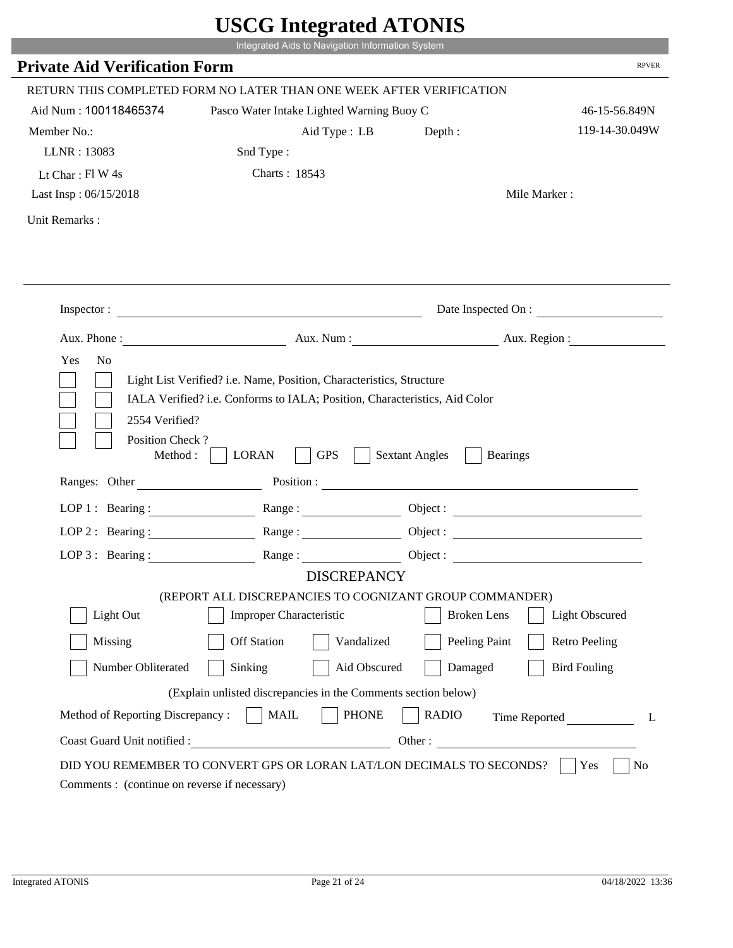| <b>Private Aid Verification Form</b>                                 | Integrated Aids to Navigation Information System                                                                                                   |                                          |                      |
|----------------------------------------------------------------------|----------------------------------------------------------------------------------------------------------------------------------------------------|------------------------------------------|----------------------|
| RETURN THIS COMPLETED FORM NO LATER THAN ONE WEEK AFTER VERIFICATION |                                                                                                                                                    |                                          | <b>RPVER</b>         |
| Aid Num: 100118465374                                                |                                                                                                                                                    |                                          |                      |
|                                                                      | Pasco Water Intake Lighted Warning Buoy C                                                                                                          |                                          | 46-15-56.849N        |
| Member No.:                                                          | Aid Type : LB                                                                                                                                      | Depth:                                   | 119-14-30.049W       |
| LLNR: 13083                                                          | Snd Type:                                                                                                                                          |                                          |                      |
| Lt Char: $FlW 4s$                                                    | Charts: 18543                                                                                                                                      |                                          |                      |
| Last Insp: 06/15/2018                                                |                                                                                                                                                    |                                          | Mile Marker:         |
| Unit Remarks:                                                        |                                                                                                                                                    |                                          |                      |
|                                                                      |                                                                                                                                                    |                                          |                      |
|                                                                      | Inspector:                                                                                                                                         |                                          | Date Inspected On :  |
| Aux. Phone :                                                         |                                                                                                                                                    | Aux. Num : Aux. Region :                 |                      |
| N <sub>o</sub><br>Yes                                                | Light List Verified? i.e. Name, Position, Characteristics, Structure<br>IALA Verified? i.e. Conforms to IALA; Position, Characteristics, Aid Color |                                          |                      |
| 2554 Verified?<br>Position Check?<br>Method :                        | <b>GPS</b><br><b>LORAN</b>                                                                                                                         | <b>Sextant Angles</b><br><b>Bearings</b> |                      |
| Ranges: Other                                                        |                                                                                                                                                    | Position :                               |                      |
|                                                                      | LOP 1: Bearing: $\qquad \qquad \text{Range}:$                                                                                                      |                                          |                      |
|                                                                      | LOP 2: Bearing: Range:                                                                                                                             |                                          |                      |
| $LOP 3:$ Bearing :                                                   | Range:                                                                                                                                             |                                          | Object :             |
|                                                                      | <b>DISCREPANCY</b><br>(REPORT ALL DISCREPANCIES TO COGNIZANT GROUP COMMANDER)                                                                      |                                          |                      |
| Light Out                                                            | Improper Characteristic                                                                                                                            | <b>Broken</b> Lens                       | Light Obscured       |
| Missing                                                              | <b>Off Station</b><br>Vandalized                                                                                                                   | Peeling Paint                            | <b>Retro Peeling</b> |
| Number Obliterated                                                   | Aid Obscured<br>Sinking                                                                                                                            | Damaged                                  | <b>Bird Fouling</b>  |
|                                                                      | (Explain unlisted discrepancies in the Comments section below)                                                                                     |                                          |                      |
| Method of Reporting Discrepancy:                                     | <b>PHONE</b><br><b>MAIL</b>                                                                                                                        | <b>RADIO</b>                             | Time Reported        |

p.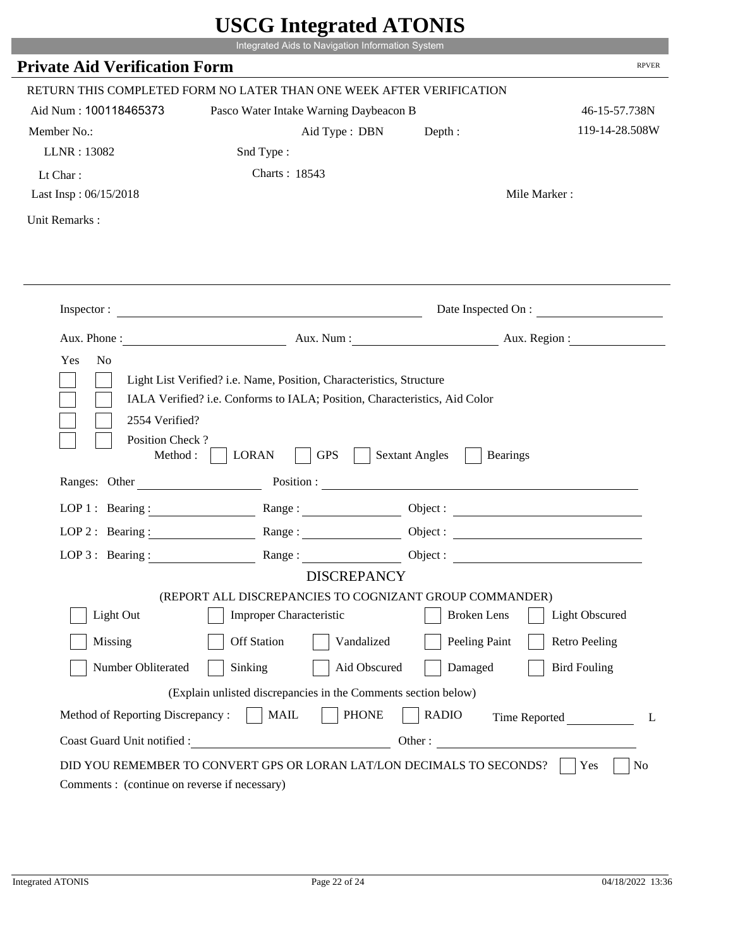|                                                                | Integrated Aids to Navigation Information System                                                                                                   |                                          | <b>RPVER</b>             |
|----------------------------------------------------------------|----------------------------------------------------------------------------------------------------------------------------------------------------|------------------------------------------|--------------------------|
| <b>Private Aid Verification Form</b>                           |                                                                                                                                                    |                                          |                          |
|                                                                | RETURN THIS COMPLETED FORM NO LATER THAN ONE WEEK AFTER VERIFICATION                                                                               |                                          |                          |
| Aid Num: 100118465373                                          | Pasco Water Intake Warning Daybeacon B                                                                                                             |                                          | 46-15-57.738N            |
| Member No.:                                                    | Aid Type: DBN                                                                                                                                      | Depth:                                   | 119-14-28.508W           |
| LLNR: 13082                                                    | Snd Type:                                                                                                                                          |                                          |                          |
| Lt Char:                                                       | Charts: 18543                                                                                                                                      |                                          |                          |
| Last Insp: 06/15/2018                                          |                                                                                                                                                    |                                          | Mile Marker:             |
| Unit Remarks:                                                  |                                                                                                                                                    |                                          |                          |
|                                                                | Inspector:                                                                                                                                         |                                          | Date Inspected On :      |
| Aux. Phone :                                                   |                                                                                                                                                    |                                          | Aux. Num : Aux. Region : |
| N <sub>o</sub><br>Yes                                          | Light List Verified? i.e. Name, Position, Characteristics, Structure<br>IALA Verified? i.e. Conforms to IALA; Position, Characteristics, Aid Color |                                          |                          |
| 2554 Verified?<br>Position Check?<br>Method :<br>Ranges: Other | <b>GPS</b><br><b>LORAN</b>                                                                                                                         | <b>Sextant Angles</b><br><b>Bearings</b> |                          |
|                                                                |                                                                                                                                                    | Position :                               |                          |
|                                                                | LOP 1: Bearing: $\qquad \qquad \text{Range}:$                                                                                                      |                                          |                          |
|                                                                | LOP 2: Bearing: Range:                                                                                                                             |                                          |                          |
| LOP $3:$ Bearing :                                             | Range:                                                                                                                                             |                                          | Object:                  |
|                                                                | <b>DISCREPANCY</b><br>(REPORT ALL DISCREPANCIES TO COGNIZANT GROUP COMMANDER)                                                                      |                                          |                          |
| Light Out                                                      | Improper Characteristic                                                                                                                            | <b>Broken</b> Lens                       | Light Obscured           |
|                                                                | <b>Off Station</b>                                                                                                                                 |                                          |                          |
| Missing                                                        | Vandalized                                                                                                                                         | Peeling Paint                            | <b>Retro Peeling</b>     |
| Number Obliterated                                             | Aid Obscured<br>Sinking                                                                                                                            | Damaged                                  | <b>Bird Fouling</b>      |
|                                                                | (Explain unlisted discrepancies in the Comments section below)                                                                                     |                                          |                          |
| Method of Reporting Discrepancy:                               | <b>PHONE</b><br><b>MAIL</b><br>Other:                                                                                                              | <b>RADIO</b>                             | Time Reported            |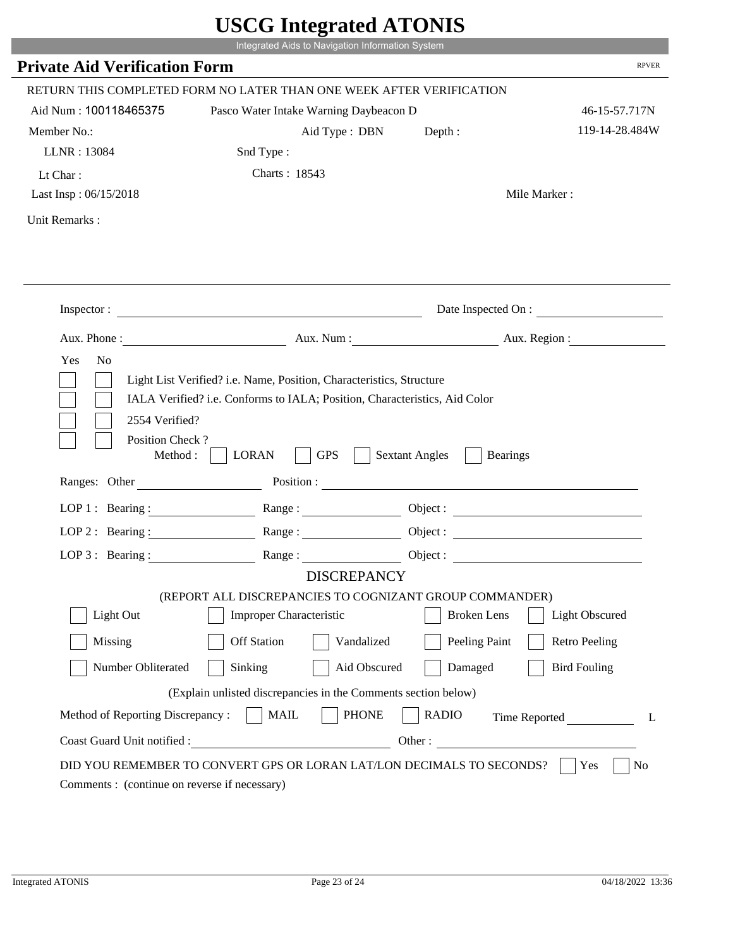|                                              | Integrated Aids to Navigation Information System                                                                                                   |                                          | <b>RPVER</b>             |
|----------------------------------------------|----------------------------------------------------------------------------------------------------------------------------------------------------|------------------------------------------|--------------------------|
| <b>Private Aid Verification Form</b>         |                                                                                                                                                    |                                          |                          |
|                                              | RETURN THIS COMPLETED FORM NO LATER THAN ONE WEEK AFTER VERIFICATION                                                                               |                                          |                          |
| Aid Num: 100118465375                        | Pasco Water Intake Warning Daybeacon D                                                                                                             |                                          | 46-15-57.717N            |
| Member No.:                                  | Aid Type: DBN                                                                                                                                      | Depth:                                   | 119-14-28.484W           |
| LLNR: 13084                                  | Snd Type:                                                                                                                                          |                                          |                          |
| Lt Char:                                     | Charts: 18543                                                                                                                                      |                                          |                          |
| Last Insp: 06/15/2018                        |                                                                                                                                                    |                                          | Mile Marker:             |
| Unit Remarks:                                |                                                                                                                                                    |                                          |                          |
|                                              | Inspector:                                                                                                                                         |                                          | Date Inspected On :      |
| Aux. Phone :                                 |                                                                                                                                                    |                                          | Aux. Num : Aux. Region : |
| N <sub>o</sub><br>Yes<br>2554 Verified?      | Light List Verified? i.e. Name, Position, Characteristics, Structure<br>IALA Verified? i.e. Conforms to IALA; Position, Characteristics, Aid Color |                                          |                          |
| Position Check?<br>Method :<br>Ranges: Other | <b>GPS</b><br><b>LORAN</b>                                                                                                                         | <b>Sextant Angles</b><br><b>Bearings</b> |                          |
|                                              |                                                                                                                                                    | Position :                               |                          |
|                                              | LOP 1: Bearing: $\qquad \qquad \text{Range}:$                                                                                                      |                                          |                          |
|                                              | LOP 2: Bearing: Range:                                                                                                                             |                                          |                          |
| LOP $3:$ Bearing :                           | Range:                                                                                                                                             |                                          | Object:                  |
|                                              | <b>DISCREPANCY</b><br>(REPORT ALL DISCREPANCIES TO COGNIZANT GROUP COMMANDER)                                                                      |                                          |                          |
| Light Out                                    | Improper Characteristic                                                                                                                            | <b>Broken</b> Lens                       | Light Obscured           |
|                                              | <b>Off Station</b>                                                                                                                                 |                                          |                          |
| Missing                                      | Vandalized                                                                                                                                         | Peeling Paint                            | <b>Retro Peeling</b>     |
| Number Obliterated                           | Aid Obscured<br>Sinking                                                                                                                            | Damaged                                  | <b>Bird Fouling</b>      |
|                                              | (Explain unlisted discrepancies in the Comments section below)                                                                                     |                                          |                          |
| Method of Reporting Discrepancy:             | <b>PHONE</b><br><b>MAIL</b><br>Other:                                                                                                              | <b>RADIO</b>                             | Time Reported            |